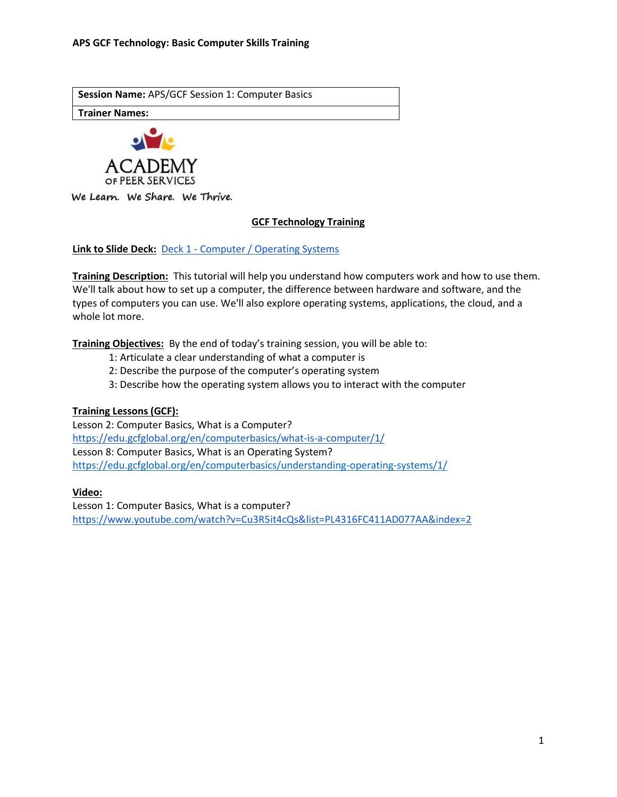**Session Name:** APS/GCF Session 1: Computer Basics

**Trainer Names:** 



We Learn. We Share. We Thrive.

# **GCF Technology Training**

**Link to Slide Deck:** Deck 1 - [Computer / Operating Systems](https://docs.google.com/presentation/d/1_v2APBSEKyGHAD_N_uIR3_kGFCfSj2pl74RkrI7gUa8/edit?usp=sharing)

**Training Description:** This tutorial will help you understand how computers work and how to use them. We'll talk about how to set up a computer, the difference between hardware and software, and the types of computers you can use. We'll also explore operating systems, applications, the cloud, and a whole lot more.

**Training Objectives:** By the end of today's training session, you will be able to:

- 1: Articulate a clear understanding of what a computer is
- 2: Describe the purpose of the computer's operating system
- 3: Describe how the operating system allows you to interact with the computer

## **Training Lessons (GCF):**

Lesson 2: Computer Basics, What is a Computer? <https://edu.gcfglobal.org/en/computerbasics/what-is-a-computer/1/> Lesson 8: Computer Basics, What is an Operating System? <https://edu.gcfglobal.org/en/computerbasics/understanding-operating-systems/1/>

**Video:** 

Lesson 1: Computer Basics, What is a computer? <https://www.youtube.com/watch?v=Cu3R5it4cQs&list=PL4316FC411AD077AA&index=2>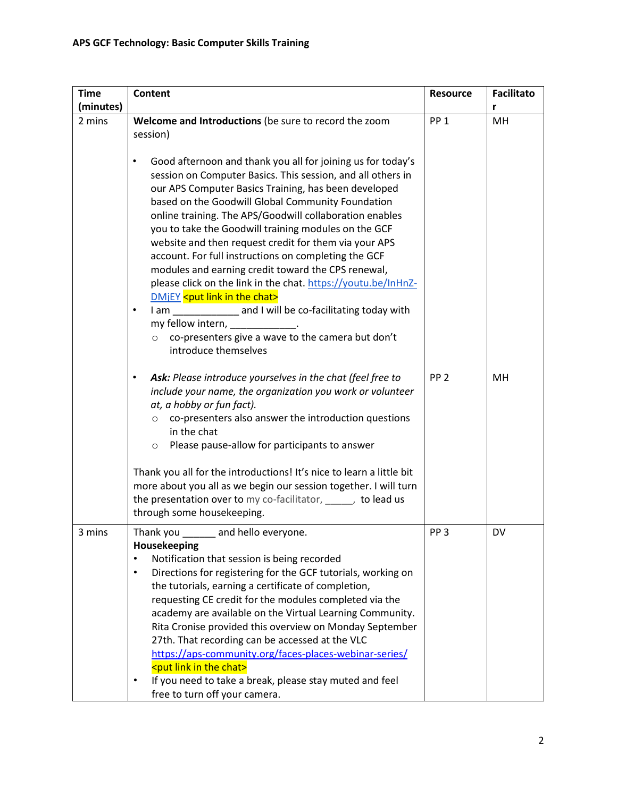| <b>Time</b> | <b>Content</b>                                                                                                                                                                                                                                                                                                                                                                                                                                                                                                                                                                                                                                                                                                                                                                                                                                                                                                          | <b>Resource</b> | <b>Facilitato</b> |
|-------------|-------------------------------------------------------------------------------------------------------------------------------------------------------------------------------------------------------------------------------------------------------------------------------------------------------------------------------------------------------------------------------------------------------------------------------------------------------------------------------------------------------------------------------------------------------------------------------------------------------------------------------------------------------------------------------------------------------------------------------------------------------------------------------------------------------------------------------------------------------------------------------------------------------------------------|-----------------|-------------------|
| (minutes)   |                                                                                                                                                                                                                                                                                                                                                                                                                                                                                                                                                                                                                                                                                                                                                                                                                                                                                                                         |                 | r                 |
| 2 mins      | Welcome and Introductions (be sure to record the zoom<br>session)                                                                                                                                                                                                                                                                                                                                                                                                                                                                                                                                                                                                                                                                                                                                                                                                                                                       | PP <sub>1</sub> | MH                |
|             | Good afternoon and thank you all for joining us for today's<br>$\bullet$<br>session on Computer Basics. This session, and all others in<br>our APS Computer Basics Training, has been developed<br>based on the Goodwill Global Community Foundation<br>online training. The APS/Goodwill collaboration enables<br>you to take the Goodwill training modules on the GCF<br>website and then request credit for them via your APS<br>account. For full instructions on completing the GCF<br>modules and earning credit toward the CPS renewal,<br>please click on the link in the chat. https://youtu.be/InHnZ-<br>DMjEY <put chat="" in="" link="" the=""><br/>I am ______________ and I will be co-facilitating today with<br/><math display="inline">\bullet</math><br/>my fellow intern, _____________.<br/>co-presenters give a wave to the camera but don't<br/><math>\circ</math><br/>introduce themselves</put> |                 |                   |
|             | Ask: Please introduce yourselves in the chat (feel free to<br>$\bullet$<br>include your name, the organization you work or volunteer<br>at, a hobby or fun fact).<br>co-presenters also answer the introduction questions<br>$\circ$<br>in the chat<br>Please pause-allow for participants to answer<br>$\circ$                                                                                                                                                                                                                                                                                                                                                                                                                                                                                                                                                                                                         | PP <sub>2</sub> | MH                |
|             | Thank you all for the introductions! It's nice to learn a little bit<br>more about you all as we begin our session together. I will turn<br>the presentation over to my co-facilitator, when to lead us<br>through some housekeeping.                                                                                                                                                                                                                                                                                                                                                                                                                                                                                                                                                                                                                                                                                   |                 |                   |
| 3 mins      | Thank you<br>and hello everyone.<br>Housekeeping<br>Notification that session is being recorded<br>$\bullet$<br>Directions for registering for the GCF tutorials, working on<br>$\bullet$<br>the tutorials, earning a certificate of completion,<br>requesting CE credit for the modules completed via the<br>academy are available on the Virtual Learning Community.<br>Rita Cronise provided this overview on Monday September<br>27th. That recording can be accessed at the VLC<br>https://aps-community.org/faces-places-webinar-series/<br><put chat="" in="" link="" the=""><br/>If you need to take a break, please stay muted and feel<br/>free to turn off your camera.</put>                                                                                                                                                                                                                                | PP <sub>3</sub> | DV                |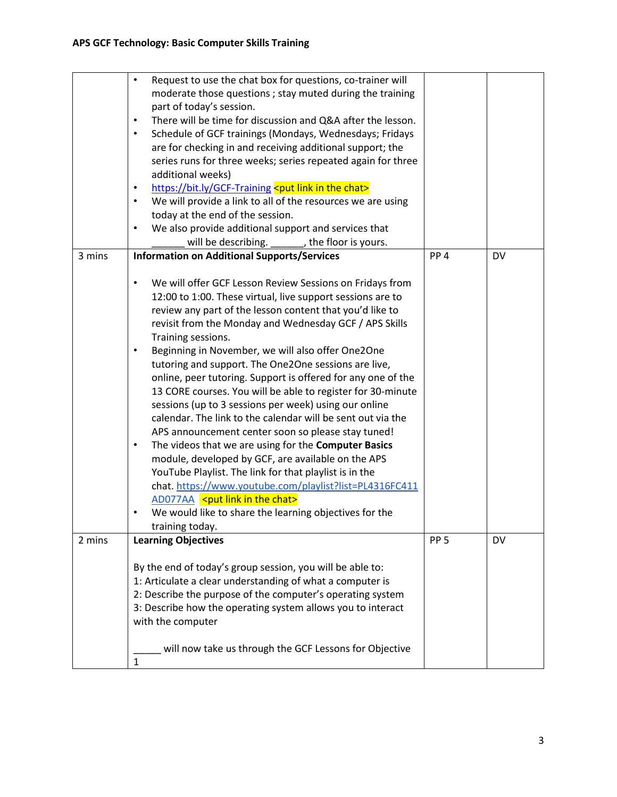|        | Request to use the chat box for questions, co-trainer will<br>$\bullet$<br>moderate those questions ; stay muted during the training<br>part of today's session.<br>There will be time for discussion and Q&A after the lesson.<br>$\bullet$<br>Schedule of GCF trainings (Mondays, Wednesdays; Fridays<br>$\bullet$<br>are for checking in and receiving additional support; the<br>series runs for three weeks; series repeated again for three<br>additional weeks)<br>https://bit.ly/GCF-Training <put chat="" in="" link="" the=""><br/><math display="inline">\bullet</math><br/>We will provide a link to all of the resources we are using<br/><math display="inline">\bullet</math><br/>today at the end of the session.<br/>We also provide additional support and services that<br/><math display="inline">\bullet</math><br/>will be describing.<br/>the floor is yours.</put>                                                                                                                                                                                                                                                                                                                |                 |           |
|--------|-----------------------------------------------------------------------------------------------------------------------------------------------------------------------------------------------------------------------------------------------------------------------------------------------------------------------------------------------------------------------------------------------------------------------------------------------------------------------------------------------------------------------------------------------------------------------------------------------------------------------------------------------------------------------------------------------------------------------------------------------------------------------------------------------------------------------------------------------------------------------------------------------------------------------------------------------------------------------------------------------------------------------------------------------------------------------------------------------------------------------------------------------------------------------------------------------------------|-----------------|-----------|
| 3 mins | <b>Information on Additional Supports/Services</b><br>We will offer GCF Lesson Review Sessions on Fridays from<br>$\bullet$<br>12:00 to 1:00. These virtual, live support sessions are to<br>review any part of the lesson content that you'd like to<br>revisit from the Monday and Wednesday GCF / APS Skills<br>Training sessions.<br>Beginning in November, we will also offer One2One<br>$\bullet$<br>tutoring and support. The One2One sessions are live,<br>online, peer tutoring. Support is offered for any one of the<br>13 CORE courses. You will be able to register for 30-minute<br>sessions (up to 3 sessions per week) using our online<br>calendar. The link to the calendar will be sent out via the<br>APS announcement center soon so please stay tuned!<br>The videos that we are using for the Computer Basics<br>$\bullet$<br>module, developed by GCF, are available on the APS<br>YouTube Playlist. The link for that playlist is in the<br>chat. https://www.youtube.com/playlist?list=PL4316FC411<br>AD077AA <put chat="" in="" link="" the=""><br/>We would like to share the learning objectives for the<br/><math display="inline">\bullet</math><br/>training today.</put> | PP <sub>4</sub> | DV        |
| 2 mins | <b>Learning Objectives</b>                                                                                                                                                                                                                                                                                                                                                                                                                                                                                                                                                                                                                                                                                                                                                                                                                                                                                                                                                                                                                                                                                                                                                                                | PP <sub>5</sub> | <b>DV</b> |
|        | By the end of today's group session, you will be able to:<br>1: Articulate a clear understanding of what a computer is<br>2: Describe the purpose of the computer's operating system<br>3: Describe how the operating system allows you to interact<br>with the computer<br>will now take us through the GCF Lessons for Objective<br>$\mathbf{1}$                                                                                                                                                                                                                                                                                                                                                                                                                                                                                                                                                                                                                                                                                                                                                                                                                                                        |                 |           |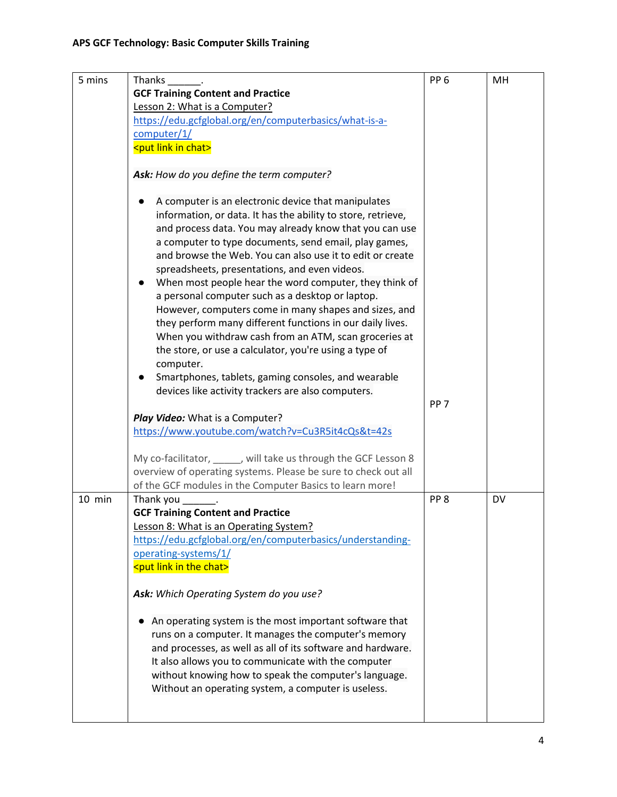| 5 mins | Thanks                                                          | PP <sub>6</sub> | MH        |
|--------|-----------------------------------------------------------------|-----------------|-----------|
|        | <b>GCF Training Content and Practice</b>                        |                 |           |
|        | Lesson 2: What is a Computer?                                   |                 |           |
|        | https://edu.gcfglobal.org/en/computerbasics/what-is-a-          |                 |           |
|        | computer/1/                                                     |                 |           |
|        | <put chat="" in="" link=""></put>                               |                 |           |
|        |                                                                 |                 |           |
|        | Ask: How do you define the term computer?                       |                 |           |
|        |                                                                 |                 |           |
|        | A computer is an electronic device that manipulates             |                 |           |
|        | information, or data. It has the ability to store, retrieve,    |                 |           |
|        | and process data. You may already know that you can use         |                 |           |
|        | a computer to type documents, send email, play games,           |                 |           |
|        | and browse the Web. You can also use it to edit or create       |                 |           |
|        | spreadsheets, presentations, and even videos.                   |                 |           |
|        | When most people hear the word computer, they think of          |                 |           |
|        | a personal computer such as a desktop or laptop.                |                 |           |
|        | However, computers come in many shapes and sizes, and           |                 |           |
|        | they perform many different functions in our daily lives.       |                 |           |
|        | When you withdraw cash from an ATM, scan groceries at           |                 |           |
|        | the store, or use a calculator, you're using a type of          |                 |           |
|        | computer.                                                       |                 |           |
|        | Smartphones, tablets, gaming consoles, and wearable             |                 |           |
|        | devices like activity trackers are also computers.              |                 |           |
|        |                                                                 | PP <sub>7</sub> |           |
|        | Play Video: What is a Computer?                                 |                 |           |
|        | https://www.youtube.com/watch?v=Cu3R5it4cQs&t=42s               |                 |           |
|        |                                                                 |                 |           |
|        | My co-facilitator, _____, will take us through the GCF Lesson 8 |                 |           |
|        | overview of operating systems. Please be sure to check out all  |                 |           |
|        | of the GCF modules in the Computer Basics to learn more!        |                 |           |
| 10 min | Thank you                                                       | PP <sub>8</sub> | <b>DV</b> |
|        | <b>GCF Training Content and Practice</b>                        |                 |           |
|        | Lesson 8: What is an Operating System?                          |                 |           |
|        | https://edu.gcfglobal.org/en/computerbasics/understanding-      |                 |           |
|        | operating-systems/1/                                            |                 |           |
|        | <put chat="" in="" link="" the=""></put>                        |                 |           |
|        |                                                                 |                 |           |
|        | Ask: Which Operating System do you use?                         |                 |           |
|        |                                                                 |                 |           |
|        | An operating system is the most important software that         |                 |           |
|        | runs on a computer. It manages the computer's memory            |                 |           |
|        | and processes, as well as all of its software and hardware.     |                 |           |
|        | It also allows you to communicate with the computer             |                 |           |
|        | without knowing how to speak the computer's language.           |                 |           |
|        | Without an operating system, a computer is useless.             |                 |           |
|        |                                                                 |                 |           |
|        |                                                                 |                 |           |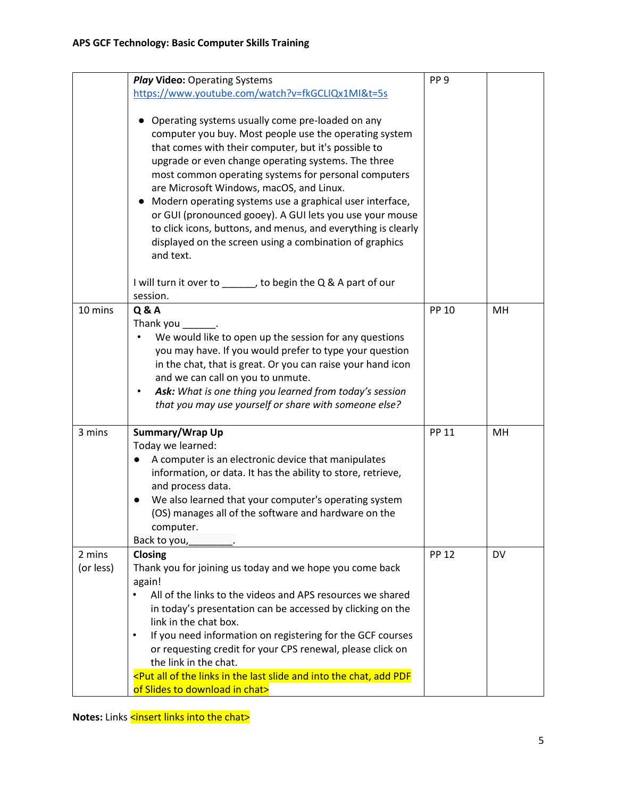|                     | <b>Play Video: Operating Systems</b>                                                                                                                                                                                                                                                                                                                                                                                                                                                                                                                                                                        | PP <sub>9</sub> |           |
|---------------------|-------------------------------------------------------------------------------------------------------------------------------------------------------------------------------------------------------------------------------------------------------------------------------------------------------------------------------------------------------------------------------------------------------------------------------------------------------------------------------------------------------------------------------------------------------------------------------------------------------------|-----------------|-----------|
|                     | https://www.youtube.com/watch?v=fkGCLIQx1MI&t=5s                                                                                                                                                                                                                                                                                                                                                                                                                                                                                                                                                            |                 |           |
|                     | Operating systems usually come pre-loaded on any<br>computer you buy. Most people use the operating system<br>that comes with their computer, but it's possible to<br>upgrade or even change operating systems. The three<br>most common operating systems for personal computers<br>are Microsoft Windows, macOS, and Linux.<br>Modern operating systems use a graphical user interface,<br>$\bullet$<br>or GUI (pronounced gooey). A GUI lets you use your mouse<br>to click icons, buttons, and menus, and everything is clearly<br>displayed on the screen using a combination of graphics<br>and text. |                 |           |
|                     | I will turn it over to ______, to begin the Q & A part of our<br>session.                                                                                                                                                                                                                                                                                                                                                                                                                                                                                                                                   |                 |           |
| 10 mins             | <b>Q&amp;A</b><br>Thank you<br>We would like to open up the session for any questions<br>you may have. If you would prefer to type your question<br>in the chat, that is great. Or you can raise your hand icon<br>and we can call on you to unmute.<br>Ask: What is one thing you learned from today's session<br>$\bullet$<br>that you may use yourself or share with someone else?                                                                                                                                                                                                                       | <b>PP 10</b>    | MH        |
| 3 mins              | Summary/Wrap Up<br>Today we learned:<br>A computer is an electronic device that manipulates<br>$\bullet$<br>information, or data. It has the ability to store, retrieve,<br>and process data.<br>We also learned that your computer's operating system<br>(OS) manages all of the software and hardware on the<br>computer.<br>Back to you,                                                                                                                                                                                                                                                                 | <b>PP 11</b>    | MH        |
| 2 mins<br>(or less) | Closing<br>Thank you for joining us today and we hope you come back<br>again!<br>All of the links to the videos and APS resources we shared<br>$\bullet$<br>in today's presentation can be accessed by clicking on the<br>link in the chat box.<br>If you need information on registering for the GCF courses<br>$\bullet$<br>or requesting credit for your CPS renewal, please click on<br>the link in the chat.<br><put add="" all="" and="" chat,="" in="" into="" last="" links="" of="" pdf<br="" slide="" the="">of Slides to download in chat&gt;</put>                                              | <b>PP 12</b>    | <b>DV</b> |